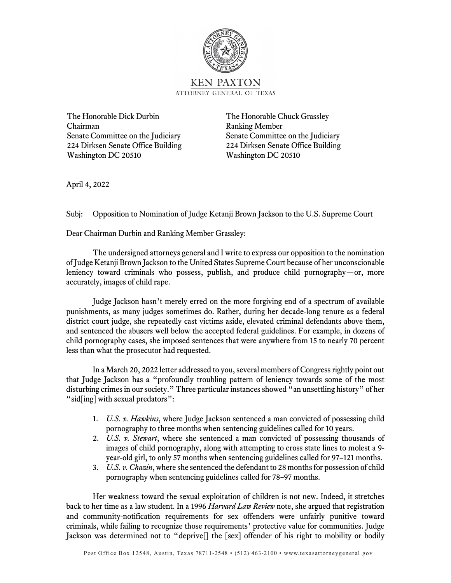

The Honorable Dick Durbin The Honorable Chuck Grassley Chairman Ranking Member Senate Committee on the Judiciary Senate Committee on the Judiciary 224 Dirksen Senate Office Building 224 Dirksen Senate Office Building Washington DC 20510 Washington DC 20510

April 4, 2022

Subj: Opposition to Nomination of Judge Ketanji Brown Jackson to the U.S. Supreme Court

Dear Chairman Durbin and Ranking Member Grassley:

The undersigned attorneys general and I write to express our opposition to the nomination of Judge Ketanji Brown Jackson to the United States Supreme Court because of her unconscionable leniency toward criminals who possess, publish, and produce child pornography—or, more accurately, images of child rape.

Judge Jackson hasn't merely erred on the more forgiving end of a spectrum of available punishments, as many judges sometimes do. Rather, during her decade-long tenure as a federal district court judge, she repeatedly cast victims aside, elevated criminal defendants above them, and sentenced the abusers well below the accepted federal guidelines. For example, in dozens of child pornography cases, she imposed sentences that were anywhere from 15 to nearly 70 percent less than what the prosecutor had requested.

In a March 20, 2022 letter addressed to you, several members of Congress rightly point out that Judge Jackson has a "profoundly troubling pattern of leniency towards some of the most disturbing crimes in our society." Three particular instances showed "an unsettling history" of her "sid[ing] with sexual predators":

- 1. *U.S. v. Hawkins*, where Judge Jackson sentenced a man convicted of possessing child pornography to three months when sentencing guidelines called for 10 years.
- 2. *U.S. v. Stewart*, where she sentenced a man convicted of possessing thousands of images of child pornography, along with attempting to cross state lines to molest a 9 year-old girl, to only 57 months when sentencing guidelines called for 97–121 months.
- 3. *U.S. v. Chazin*, where she sentenced the defendant to 28 months for possession of child pornography when sentencing guidelines called for 78–97 months.

Her weakness toward the sexual exploitation of children is not new. Indeed, it stretches back to her time as a law student. In a 1996 *Harvard Law Review* note, she argued that registration and community-notification requirements for sex offenders were unfairly punitive toward criminals, while failing to recognize those requirements' protective value for communities. Judge Jackson was determined not to "deprive[] the [sex] offender of his right to mobility or bodily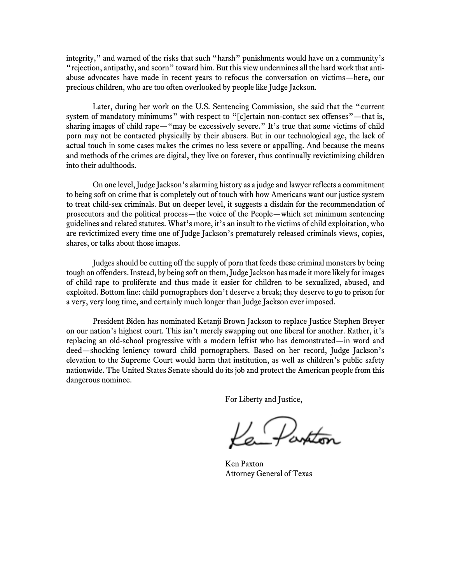integrity," and warned of the risks that such "harsh" punishments would have on a community's "rejection, antipathy, and scorn" toward him. But this view undermines all the hard work that antiabuse advocates have made in recent years to refocus the conversation on victims—here, our precious children, who are too often overlooked by people like Judge Jackson.

Later, during her work on the U.S. Sentencing Commission, she said that the "current system of mandatory minimums" with respect to "[c]ertain non-contact sex offenses"—that is, sharing images of child rape—"may be excessively severe." It's true that some victims of child porn may not be contacted physically by their abusers. But in our technological age, the lack of actual touch in some cases makes the crimes no less severe or appalling. And because the means and methods of the crimes are digital, they live on forever, thus continually revictimizing children into their adulthoods.

On one level, Judge Jackson's alarming history as a judge and lawyer reflects a commitment to being soft on crime that is completely out of touch with how Americans want our justice system to treat child-sex criminals. But on deeper level, it suggests a disdain for the recommendation of prosecutors and the political process—the voice of the People—which set minimum sentencing guidelines and related statutes. What's more, it's an insult to the victims of child exploitation, who are revictimized every time one of Judge Jackson's prematurely released criminals views, copies, shares, or talks about those images.

Judges should be cutting off the supply of porn that feeds these criminal monsters by being tough on offenders. Instead, by being soft on them, Judge Jackson has made it more likely for images of child rape to proliferate and thus made it easier for children to be sexualized, abused, and exploited. Bottom line: child pornographers don't deserve a break; they deserve to go to prison for a very, very long time, and certainly much longer than Judge Jackson ever imposed.

President Biden has nominated Ketanji Brown Jackson to replace Justice Stephen Breyer on our nation's highest court. This isn't merely swapping out one liberal for another. Rather, it's replacing an old-school progressive with a modern leftist who has demonstrated—in word and deed—shocking leniency toward child pornographers. Based on her record, Judge Jackson's elevation to the Supreme Court would harm that institution, as well as children's public safety nationwide. The United States Senate should do its job and protect the American people from this dangerous nominee.

For Liberty and Justice,

Partton

Ken Paxton Attorney General of Texas